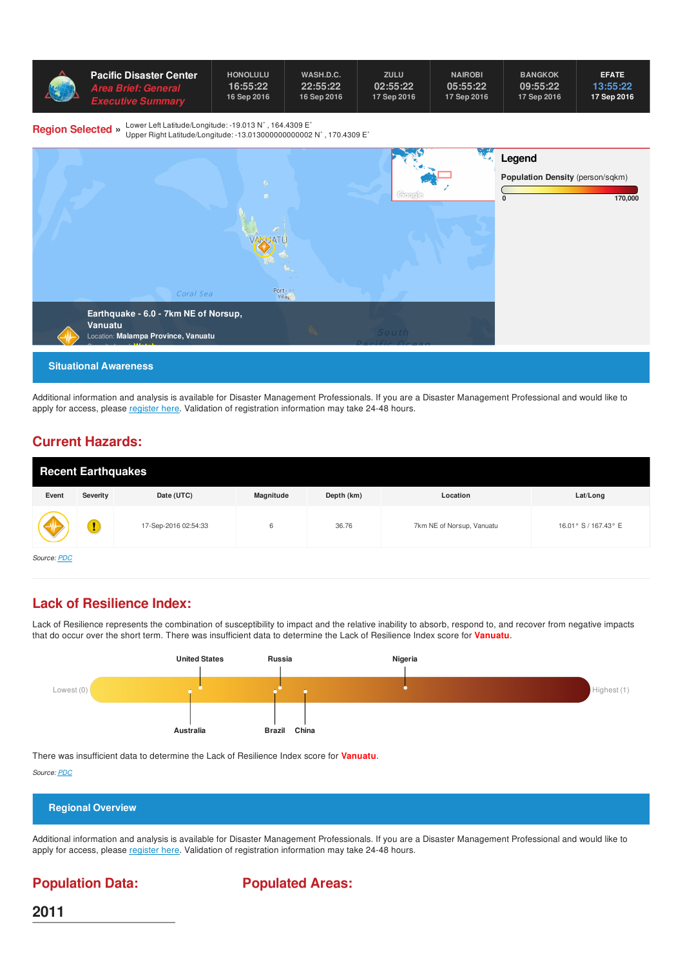| <b>Pacific Disaster Center</b> ' | <b>HONOLULU</b> | WASH.D.C.   | ZULU        | <b>NAIROBI</b> | <b>BANGKOK</b> | <b>EFATE</b> |
|----------------------------------|-----------------|-------------|-------------|----------------|----------------|--------------|
| <b>Area Brief: General</b>       | 16:55:22        | 22:55:22    | 02:55:22    | 05:55:22       | 09:55:22       | 13:55:22     |
| <i><b>Executive Summarv</b></i>  | 16 Sep 2016     | 16 Sep 2016 | 17 Sep 2016 | 17 Sep 2016    | 17 Sep 2016    | 17 Sep 2016  |

**Region Selected »** Lower Left Latitude/Longitude: -19.013 N˚ , 164.4309 E˚

Upper Right Latitude/Longitude: -13.013000000000002 N˚ , 170.4309 E˚



Additional information and analysis is available for Disaster Management Professionals. If you are a Disaster Management Professional and would like to apply for access, please [register](http://emops.pdc.org/emops/public/registeruser.jsp) here. Validation of registration information may take 24-48 hours.

### **Current Hazards:**

| <b>Recent Earthquakes</b> |          |                      |           |            |                           |                      |  |  |
|---------------------------|----------|----------------------|-----------|------------|---------------------------|----------------------|--|--|
| Event                     | Severity | Date (UTC)           | Magnitude | Depth (km) | Location                  | Lat/Long             |  |  |
| V                         |          | 17-Sep-2016 02:54:33 | 6         | 36.76      | 7km NE of Norsup, Vanuatu | 16.01° S / 167.43° E |  |  |
| Source: PDC               |          |                      |           |            |                           |                      |  |  |

### **Lack of Resilience Index:**

Lack of Resilience represents the combination of susceptibility to impact and the relative inability to absorb, respond to, and recover from negative impacts that do occur over the short term. There was insufficient data to determine the Lack of Resilience Index score for **Vanuatu**.



There was insufficient data to determine the Lack of Resilience Index score for **Vanuatu**.

*Source: [PDC](http://ghin.pdc.org/ghin/catalog/search/resource/details.page?uuid=%7BF7E8D0D4-3ECF-44D3-B4D0-1469A3D856E0%7D)*



Additional information and analysis is available for Disaster Management Professionals. If you are a Disaster Management Professional and would like to apply for access, please [register](http://emops.pdc.org/emops/public/registeruser.jsp) here. Validation of registration information may take 24-48 hours.

### **Population Data:**

**Populated Areas:**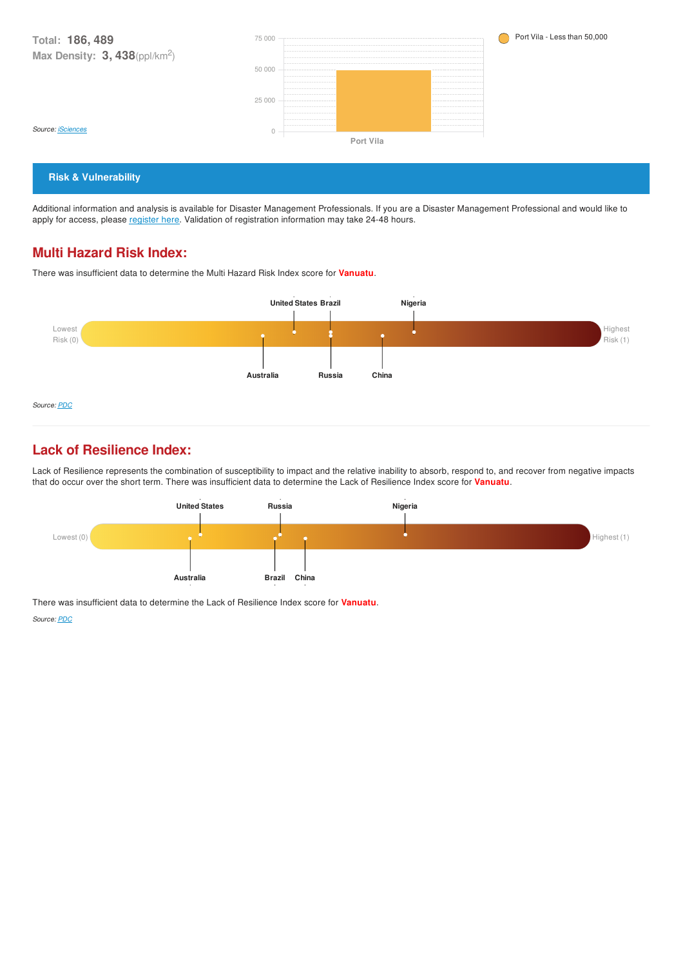**Total: 186, 489 Max Density: 3, 438**(ppl/km<sup>2</sup> ) *Source: [iSciences](http://ghin.pdc.org/ghin/catalog/search/resource/details.page?uuid=%7BCD2ECF33-3526-4D6D-80B3-C7BCB389CEA0%7D)* Port Vila - Less than 50,000 **Port Vila**  $\overline{0}$ 25 000 50 000 75 000

#### **Risk & Vulnerability**

Additional information and analysis is available for Disaster Management Professionals. If you are a Disaster Management Professional and would like to apply for access, please [register](http://emops.pdc.org/emops/public/registeruser.jsp) here. Validation of registration information may take 24-48 hours.

#### **Multi Hazard Risk Index:**

There was insufficient data to determine the Multi Hazard Risk Index score for **Vanuatu**.



### **Lack of Resilience Index:**

Lack of Resilience represents the combination of susceptibility to impact and the relative inability to absorb, respond to, and recover from negative impacts that do occur over the short term. There was insufficient data to determine the Lack of Resilience Index score for **Vanuatu**.



There was insufficient data to determine the Lack of Resilience Index score for **Vanuatu**.

*Source: [PDC](http://ghin.pdc.org/ghin/catalog/search/resource/details.page?uuid=%7BF7E8D0D4-3ECF-44D3-B4D0-1469A3D856E0%7D)*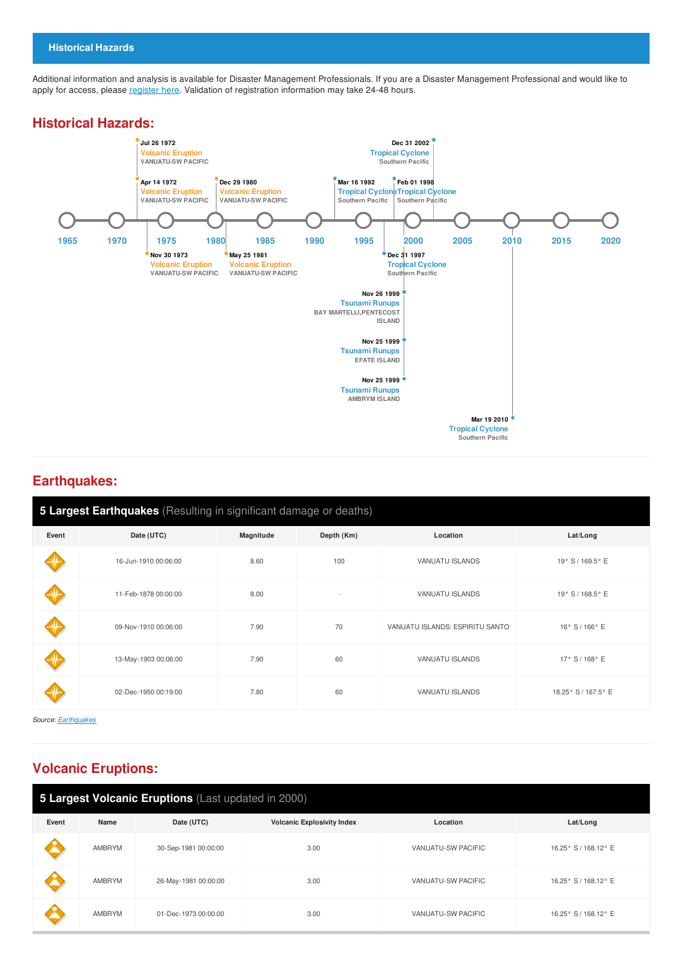Additional information and analysis is available for Disaster Management Professionals. If you are a Disaster Management Professional and would like to apply for access, please [register](http://emops.pdc.org/emops/public/registeruser.jsp) here. Validation of registration information may take 24-48 hours.

#### **Historical Hazards:**



#### **Earthquakes:**

| 5 Largest Earthquakes (Resulting in significant damage or deaths) |                      |           |            |                                 |                     |  |  |
|-------------------------------------------------------------------|----------------------|-----------|------------|---------------------------------|---------------------|--|--|
| Event                                                             | Date (UTC)           | Magnitude | Depth (Km) | Location                        | Lat/Long            |  |  |
|                                                                   | 16-Jun-1910 00:06:00 | 8.60      | 100        | VANUATU ISLANDS                 | 19° S / 169.5° E    |  |  |
|                                                                   | 11-Feb-1878 00:00:00 | 8.00      |            | VANUATU ISLANDS                 | 19° S / 168.5° E    |  |  |
|                                                                   | 09-Nov-1910 00:06:00 | 7.90      | 70         | VANUATU ISLANDS: ESPIRITU SANTO | 16° S / 166° E      |  |  |
|                                                                   | 13-May-1903 00:06:00 | 7.90      | 60         | VANUATU ISLANDS                 | 17° S / 168° E      |  |  |
|                                                                   | 02-Dec-1950 00:19:00 | 7.80      | 60         | VANUATU ISLANDS                 | 18.25° S / 167.5° E |  |  |

*Source: [Earthquakes](http://ghin.pdc.org/ghin/catalog/search/resource/details.page?uuid=%7B42D1C8CA-0E29-41B7-A7E4-F493F3701DAC%7D)*

## **Volcanic Eruptions:**

| 5 Largest Volcanic Eruptions (Last updated in 2000) |               |                      |                                   |                    |                      |  |  |
|-----------------------------------------------------|---------------|----------------------|-----------------------------------|--------------------|----------------------|--|--|
| Event                                               | Name          | Date (UTC)           | <b>Volcanic Explosivity Index</b> | Location           | Lat/Long             |  |  |
|                                                     | <b>AMBRYM</b> | 30-Sep-1981 00:00:00 | 3.00                              | VANUATU-SW PACIFIC | 16.25° S / 168.12° E |  |  |
|                                                     | <b>AMBRYM</b> | 26-May-1981 00:00:00 | 3.00                              | VANUATU-SW PACIFIC | 16.25° S / 168.12° E |  |  |
|                                                     | AMBRYM        | 01-Dec-1973 00:00:00 | 3.00                              | VANUATU-SW PACIFIC | 16.25° S / 168.12° E |  |  |